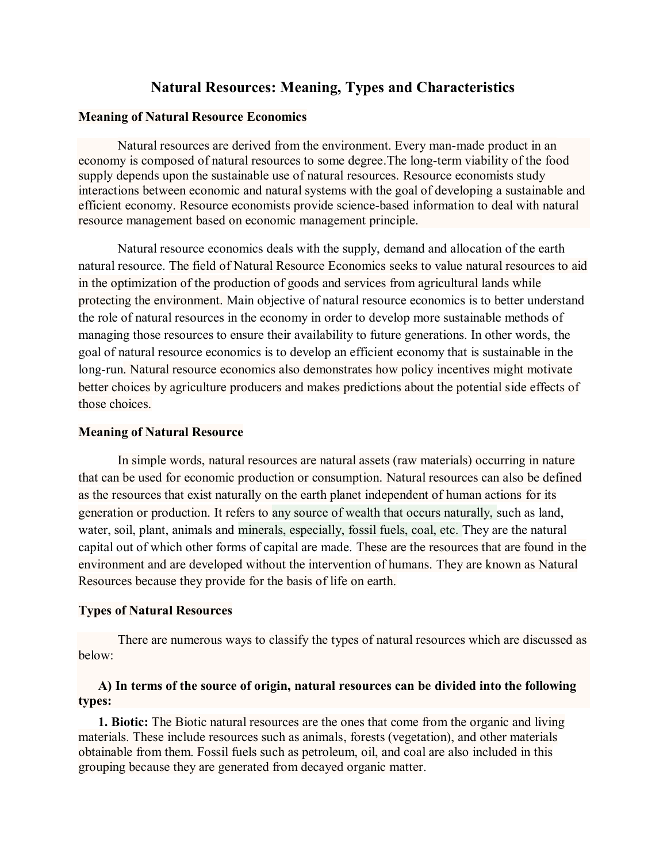# **Natural Resources: Meaning, Types and Characteristics**

#### **Meaning of Natural Resource Economics**

Natural resources are derived from the environment. Every man-made product in an economy is composed of natural resources to some degree.The long-term viability of the food supply depends upon the sustainable use of natural resources. Resource economists study interactions between economic and natural systems with the goal of developing a sustainable and efficient economy. Resource economists provide science-based information to deal with natural resource management based on economic management principle.

Natural resource economics deals with the supply, demand and allocation of the earth natural resource. The field of [Natural Resource Economics](https://nifa.usda.gov/glossary#N) seeks to value natural resources to aid in the optimization of the production of goods and services from agricultural lands while protecting the environment. Main objective of natural resource economics is to better understand the role of natural resources in the economy in order to develop more sustainable methods of managing those resources to ensure their availability to future generations. In other words, the goal of natural resource economics is to develop an efficient economy that is sustainable in the long-run. Natural resource economics also demonstrates how policy incentives might motivate better choices by agriculture producers and makes predictions about the potential side effects of those choices.

#### **Meaning of Natural Resource**

In simple words, natural resources are natural assets (raw materials) occurring in nature that can be used for economic production or consumption. Natural resources can also be defined as the resources that exist naturally on the earth planet independent of human actions for its generation or production. It refers to any source of wealth that occurs naturally, such as land, water, soil, plant, animals and minerals, especially, fossil fuels, coal, etc. They are the natural capital out of which other forms of capital are made. These are the resources that are found in the environment and are developed without the intervention of humans. They are known as Natural Resources because they provide for the basis of life on earth.

### **Types of Natural Resources**

There are numerous ways to classify the types of natural resources which are discussed as below:

## **A) In terms of the source of origin, natural resources can be divided into the following types:**

**1. Biotic:** The Biotic natural resources are the ones that come from the organic and living materials. These include resources such as animals, forests (vegetation), and other materials obtainable from them. Fossil fuels such as petroleum, oil, and coal are also included in this grouping because they are generated from decayed organic matter.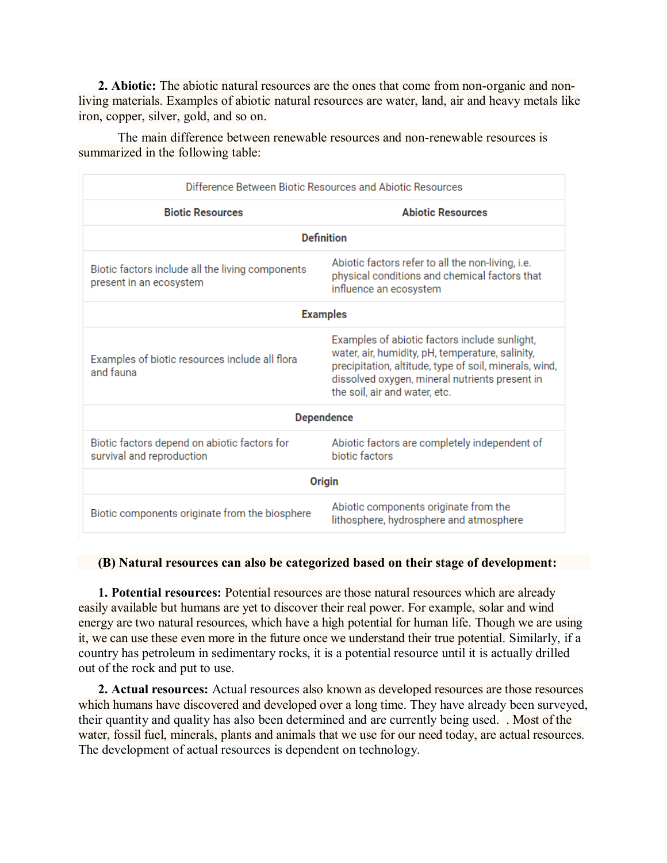**2. Abiotic:** The abiotic natural resources are the ones that come from non-organic and nonliving materials. Examples of abiotic natural resources are water, land, air and heavy metals like iron, copper, silver, gold, and so on.

The main difference between renewable resources and non-renewable resources is summarized in the following table:

| Difference Between Biotic Resources and Abiotic Resources                   |                                                                                                                                                                                                                                                |  |
|-----------------------------------------------------------------------------|------------------------------------------------------------------------------------------------------------------------------------------------------------------------------------------------------------------------------------------------|--|
| <b>Biotic Resources</b>                                                     | <b>Abiotic Resources</b>                                                                                                                                                                                                                       |  |
| <b>Definition</b>                                                           |                                                                                                                                                                                                                                                |  |
| Biotic factors include all the living components<br>present in an ecosystem | Abiotic factors refer to all the non-living, i.e.<br>physical conditions and chemical factors that<br>influence an ecosystem                                                                                                                   |  |
| <b>Examples</b>                                                             |                                                                                                                                                                                                                                                |  |
| Examples of biotic resources include all flora<br>and fauna                 | Examples of abiotic factors include sunlight,<br>water, air, humidity, pH, temperature, salinity,<br>precipitation, altitude, type of soil, minerals, wind,<br>dissolved oxygen, mineral nutrients present in<br>the soil, air and water, etc. |  |
| <b>Dependence</b>                                                           |                                                                                                                                                                                                                                                |  |
| Biotic factors depend on abiotic factors for<br>survival and reproduction   | Abiotic factors are completely independent of<br>biotic factors                                                                                                                                                                                |  |
| Origin                                                                      |                                                                                                                                                                                                                                                |  |
| Biotic components originate from the biosphere                              | Abiotic components originate from the<br>lithosphere, hydrosphere and atmosphere                                                                                                                                                               |  |

### **(B) Natural resources can also be categorized based on their stage of development:**

**1. Potential resources:** Potential resources are those natural resources which are already easily available but humans are yet to discover their real power. For example, [solar](https://www.toppr.com/bytes/solar-energy/) and [wind](https://www.toppr.com/guides/physics/sources-of-energy/non-conventional-sources-of-energy/) [energy](https://www.toppr.com/guides/physics/sources-of-energy/non-conventional-sources-of-energy/) are two natural resources, which have a high potential for human life. Though we are using it, we can use these even more in the future once we understand their true potential. Similarly, if a country has petroleum in sedimentary rocks, it is a potential resource until it is actually drilled out of the rock and put to use.

**2. Actual resources:** Actual resources also known as developed resources are those resources which humans have discovered and developed over a long time. They have already been surveyed, their quantity and quality has also been determined and are currently being used. . Most of the water, [fossil](https://www.toppr.com/guides/biology/management-of-natural-resources/fossil-fuel-and-its-management/) fuel, [minerals,](https://www.toppr.com/guides/geography/minerals-and-energy-resources/) plants and animals that we use for our need today, are actual resources. The development of actual resources is dependent on technology.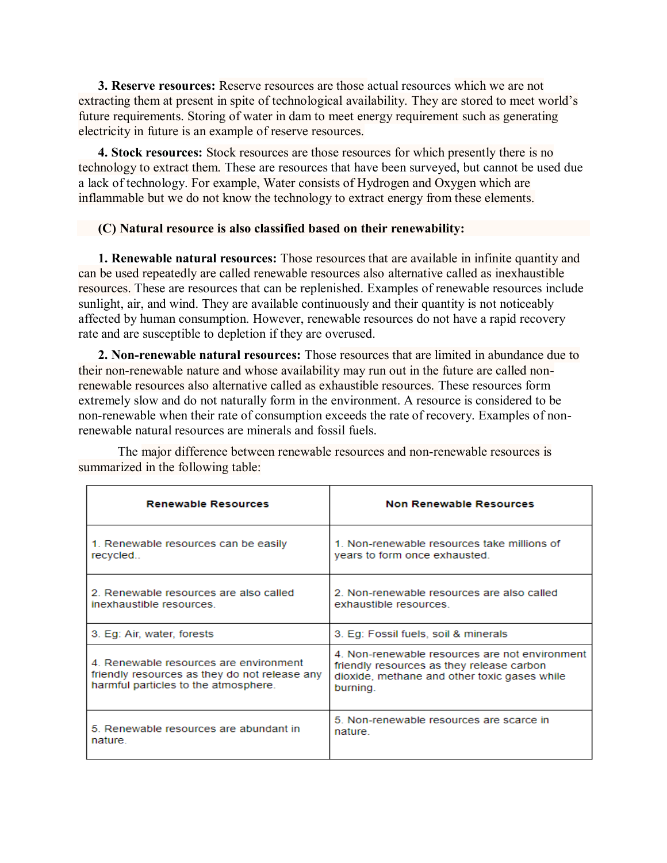**3. Reserve resources:** Reserve resources are those actual resources which we are not extracting them at present in spite of technological availability. They are stored to meet world's future requirements. Storing of water in dam to meet energy requirement such as generating electricity in future is an example of reserve resources.

**4. Stock resources:** Stock resources are those resources for which presently there is no technology to extract them. These are resources that have been surveyed, but cannot be used due a lack of technology. For example, Water consists of Hydrogen and Oxygen which are inflammable but we do not know the technology to extract energy from these elements.

### **(C) Natural resource is also classified based on their renewability:**

**1. Renewable natural resources:** Those resources that are available in infinite quantity and can be used repeatedly are called renewable resources also alternative called as inexhaustible resources. These are resources that can be replenished. Examples of renewable resources include sunlight, air, and wind. They are available continuously and their quantity is not noticeably affected by human consumption. However, renewable resources do not have a rapid recovery rate and are susceptible to depletion if they are overused.

**2. Non-renewable natural resources:** Those resources that are limited in abundance due to their non-renewable nature and whose availability may run out in the future are called nonrenewable resources also alternative called as exhaustible resources. These resources form extremely slow and do not naturally form in the environment. A resource is considered to be non-renewable when their rate of consumption exceeds the rate of recovery. Examples of nonrenewable natural resources are minerals and fossil fuels.

| <b>Renewable Resources</b>                                                                                                       | <b>Non Renewable Resources</b>                                                                                                                          |
|----------------------------------------------------------------------------------------------------------------------------------|---------------------------------------------------------------------------------------------------------------------------------------------------------|
| 1. Renewable resources can be easily                                                                                             | 1. Non-renewable resources take millions of                                                                                                             |
| recycled                                                                                                                         | years to form once exhausted.                                                                                                                           |
| 2. Renewable resources are also called.                                                                                          | 2. Non-renewable resources are also called                                                                                                              |
| inexhaustible resources                                                                                                          | exhaustible resources                                                                                                                                   |
| 3. Eq: Air, water, forests                                                                                                       | 3. Eq: Fossil fuels, soil & minerals                                                                                                                    |
| 4. Renewable resources are environment.<br>friendly resources as they do not release any<br>harmful particles to the atmosphere. | 4. Non-renewable resources are not environment<br>friendly resources as they release carbon<br>dioxide, methane and other toxic gases while<br>burning. |
| 5. Renewable resources are abundant in                                                                                           | 5. Non-renewable resources are scarce in                                                                                                                |
| nature.                                                                                                                          | nature                                                                                                                                                  |

The major difference between renewable resources and non-renewable resources is summarized in the following table: